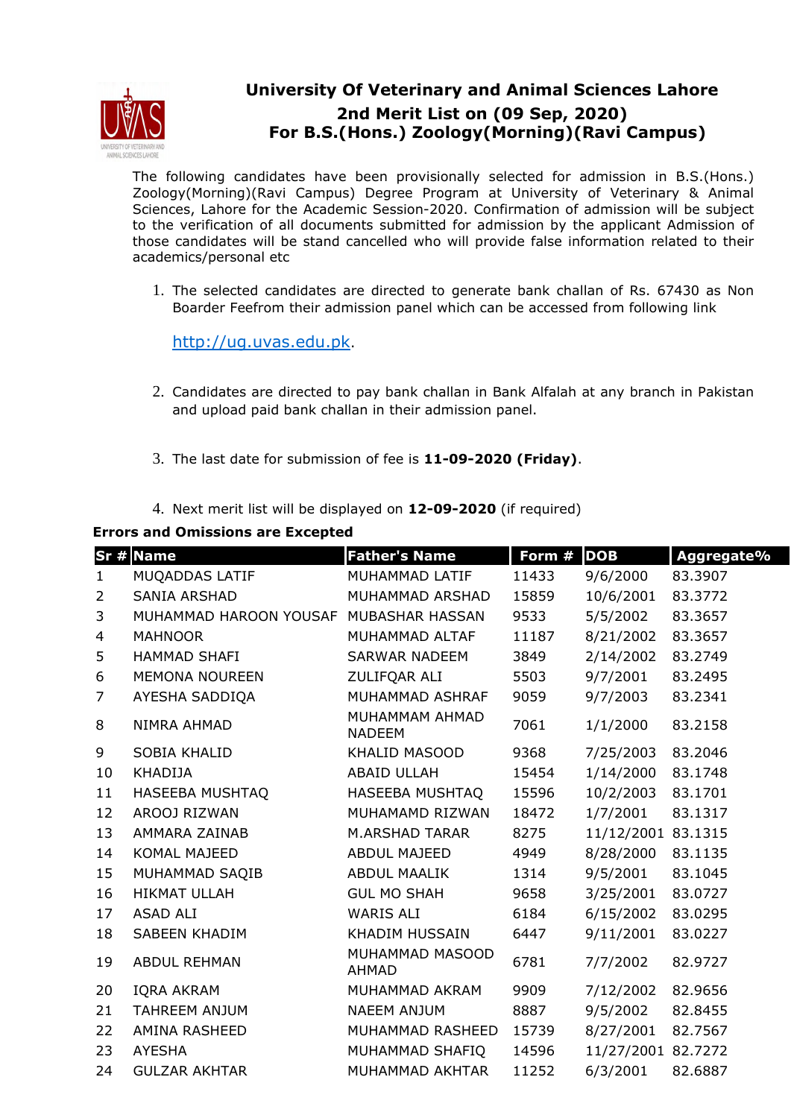

## **University Of Veterinary and Animal Sciences Lahore 2nd Merit List on (09 Sep, 2020) For B.S.(Hons.) Zoology(Morning)(Ravi Campus)**

The following candidates have been provisionally selected for admission in B.S.(Hons.) Zoology(Morning)(Ravi Campus) Degree Program at University of Veterinary & Animal Sciences, Lahore for the Academic Session-2020. Confirmation of admission will be subject to the verification of all documents submitted for admission by the applicant Admission of those candidates will be stand cancelled who will provide false information related to their academics/personal etc

1. The selected candidates are directed to generate bank challan of Rs. 67430 as Non Boarder Feefrom their admission panel which can be accessed from following link

http://ug.uvas.edu.pk.

- 2. Candidates are directed to pay bank challan in Bank Alfalah at any branch in Pakistan and upload paid bank challan in their admission panel.
- 3. The last date for submission of fee is **11-09-2020 (Friday)**.
- 4. Next merit list will be displayed on **12-09-2020** (if required)

## **Errors and Omissions are Excepted**

|                | Sr # Name                              | <b>Father's Name</b>            | Form # | <b>DOB</b> | Aggregate% |
|----------------|----------------------------------------|---------------------------------|--------|------------|------------|
| $\mathbf{1}$   | MUQADDAS LATIF                         | MUHAMMAD LATIF                  | 11433  | 9/6/2000   | 83.3907    |
| $\overline{2}$ | <b>SANIA ARSHAD</b>                    | MUHAMMAD ARSHAD                 | 15859  | 10/6/2001  | 83.3772    |
| 3              | MUHAMMAD HAROON YOUSAF MUBASHAR HASSAN |                                 | 9533   | 5/5/2002   | 83.3657    |
| 4              | <b>MAHNOOR</b>                         | MUHAMMAD ALTAF                  | 11187  | 8/21/2002  | 83.3657    |
| 5              | <b>HAMMAD SHAFI</b>                    | <b>SARWAR NADEEM</b>            | 3849   | 2/14/2002  | 83.2749    |
| 6              | <b>MEMONA NOUREEN</b>                  | ZULIFQAR ALI                    | 5503   | 9/7/2001   | 83.2495    |
| $\overline{7}$ | AYESHA SADDIQA                         | MUHAMMAD ASHRAF                 | 9059   | 9/7/2003   | 83.2341    |
| 8              | NIMRA AHMAD                            | MUHAMMAM AHMAD<br><b>NADEEM</b> | 7061   | 1/1/2000   | 83.2158    |
| 9              | SOBIA KHALID                           | KHALID MASOOD                   | 9368   | 7/25/2003  | 83.2046    |
| 10             | <b>KHADIJA</b>                         | <b>ABAID ULLAH</b>              | 15454  | 1/14/2000  | 83.1748    |
| 11             | HASEEBA MUSHTAQ                        | HASEEBA MUSHTAQ                 | 15596  | 10/2/2003  | 83.1701    |
| 12             | AROOJ RIZWAN                           | MUHAMAMD RIZWAN                 | 18472  | 1/7/2001   | 83.1317    |
| 13             | AMMARA ZAINAB                          | <b>M.ARSHAD TARAR</b>           | 8275   | 11/12/2001 | 83.1315    |
| 14             | KOMAL MAJEED                           | <b>ABDUL MAJEED</b>             | 4949   | 8/28/2000  | 83.1135    |
| 15             | MUHAMMAD SAQIB                         | <b>ABDUL MAALIK</b>             | 1314   | 9/5/2001   | 83.1045    |
| 16             | <b>HIKMAT ULLAH</b>                    | <b>GUL MO SHAH</b>              | 9658   | 3/25/2001  | 83.0727    |
| 17             | ASAD ALI                               | <b>WARIS ALI</b>                | 6184   | 6/15/2002  | 83.0295    |
| 18             | <b>SABEEN KHADIM</b>                   | <b>KHADIM HUSSAIN</b>           | 6447   | 9/11/2001  | 83.0227    |
| 19             | <b>ABDUL REHMAN</b>                    | MUHAMMAD MASOOD<br><b>AHMAD</b> | 6781   | 7/7/2002   | 82.9727    |
| 20             | <b>IQRA AKRAM</b>                      | MUHAMMAD AKRAM                  | 9909   | 7/12/2002  | 82.9656    |
| 21             | <b>TAHREEM ANJUM</b>                   | NAEEM ANJUM                     | 8887   | 9/5/2002   | 82.8455    |
| 22             | AMINA RASHEED                          | MUHAMMAD RASHEED                | 15739  | 8/27/2001  | 82.7567    |
| 23             | <b>AYESHA</b>                          | MUHAMMAD SHAFIQ                 | 14596  | 11/27/2001 | 82.7272    |
| 24             | <b>GULZAR AKHTAR</b>                   | MUHAMMAD AKHTAR                 | 11252  | 6/3/2001   | 82.6887    |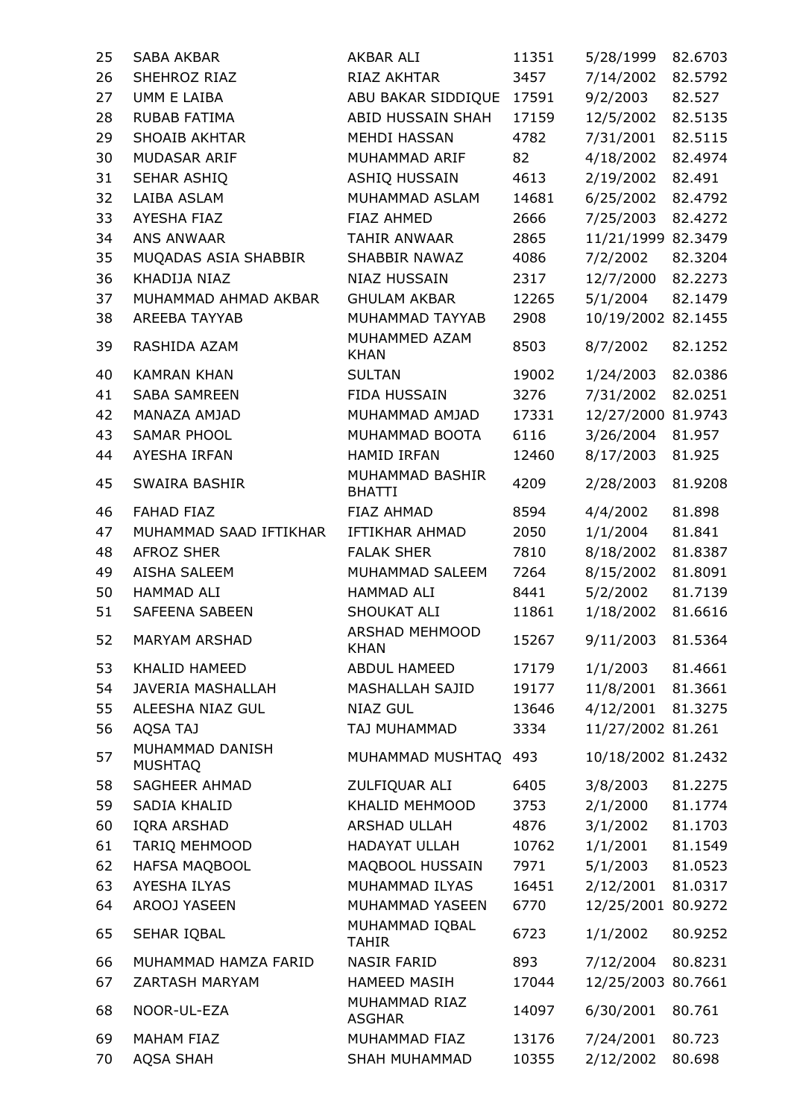| 25 | <b>SABA AKBAR</b>                 | AKBAR ALI                        | 11351 | 5/28/1999          | 82.6703 |
|----|-----------------------------------|----------------------------------|-------|--------------------|---------|
| 26 | SHEHROZ RIAZ                      | RIAZ AKHTAR                      | 3457  | 7/14/2002          | 82.5792 |
| 27 | UMM E LAIBA                       | ABU BAKAR SIDDIQUE 17591         |       | 9/2/2003           | 82.527  |
| 28 | <b>RUBAB FATIMA</b>               | ABID HUSSAIN SHAH                | 17159 | 12/5/2002          | 82.5135 |
| 29 | <b>SHOAIB AKHTAR</b>              | <b>MEHDI HASSAN</b>              | 4782  | 7/31/2001          | 82.5115 |
| 30 | MUDASAR ARIF                      | MUHAMMAD ARIF                    | 82    | 4/18/2002          | 82.4974 |
| 31 | SEHAR ASHIQ                       | ASHIQ HUSSAIN                    | 4613  | 2/19/2002          | 82.491  |
| 32 | LAIBA ASLAM                       | MUHAMMAD ASLAM                   | 14681 | 6/25/2002          | 82.4792 |
| 33 | <b>AYESHA FIAZ</b>                | <b>FIAZ AHMED</b>                | 2666  | 7/25/2003          | 82.4272 |
| 34 | ANS ANWAAR                        | TAHIR ANWAAR                     | 2865  | 11/21/1999 82.3479 |         |
| 35 | MUQADAS ASIA SHABBIR              | SHABBIR NAWAZ                    | 4086  | 7/2/2002           | 82.3204 |
| 36 | KHADIJA NIAZ                      | <b>NIAZ HUSSAIN</b>              | 2317  | 12/7/2000          | 82.2273 |
| 37 | MUHAMMAD AHMAD AKBAR              | <b>GHULAM AKBAR</b>              | 12265 | 5/1/2004           | 82.1479 |
| 38 | <b>AREEBA TAYYAB</b>              | MUHAMMAD TAYYAB                  | 2908  | 10/19/2002 82.1455 |         |
| 39 | RASHIDA AZAM                      | MUHAMMED AZAM<br><b>KHAN</b>     | 8503  | 8/7/2002           | 82.1252 |
| 40 | <b>KAMRAN KHAN</b>                | <b>SULTAN</b>                    | 19002 | 1/24/2003          | 82.0386 |
| 41 | <b>SABA SAMREEN</b>               | FIDA HUSSAIN                     | 3276  | 7/31/2002          | 82.0251 |
| 42 | MANAZA AMJAD                      | MUHAMMAD AMJAD                   | 17331 | 12/27/2000 81.9743 |         |
| 43 | SAMAR PHOOL                       | MUHAMMAD BOOTA                   | 6116  | 3/26/2004          | 81.957  |
| 44 | AYESHA IRFAN                      | <b>HAMID IRFAN</b>               | 12460 | 8/17/2003          | 81.925  |
| 45 | SWAIRA BASHIR                     | MUHAMMAD BASHIR<br><b>BHATTI</b> | 4209  | 2/28/2003          | 81.9208 |
| 46 | <b>FAHAD FIAZ</b>                 | FIAZ AHMAD                       | 8594  | 4/4/2002           | 81.898  |
| 47 | MUHAMMAD SAAD IFTIKHAR            | IFTIKHAR AHMAD                   | 2050  | 1/1/2004           | 81.841  |
| 48 | <b>AFROZ SHER</b>                 | <b>FALAK SHER</b>                | 7810  | 8/18/2002          | 81.8387 |
| 49 | AISHA SALEEM                      | MUHAMMAD SALEEM                  | 7264  | 8/15/2002          | 81.8091 |
| 50 | HAMMAD ALI                        | HAMMAD ALI                       | 8441  | 5/2/2002           | 81.7139 |
| 51 | SAFEENA SABEEN                    | SHOUKAT ALI                      | 11861 | 1/18/2002          | 81.6616 |
| 52 | MARYAM ARSHAD                     | <b>ARSHAD MEHMOOD</b><br>KHAN    | 15267 | 9/11/2003          | 81.5364 |
| 53 | KHALID HAMEED                     | <b>ABDUL HAMEED</b>              | 17179 | 1/1/2003           | 81.4661 |
| 54 | <b>JAVERIA MASHALLAH</b>          | <b>MASHALLAH SAJID</b>           | 19177 | 11/8/2001          | 81.3661 |
| 55 | ALEESHA NIAZ GUL                  | <b>NIAZ GUL</b>                  | 13646 | 4/12/2001          | 81.3275 |
| 56 | <b>AQSA TAJ</b>                   | TAJ MUHAMMAD                     | 3334  | 11/27/2002 81.261  |         |
| 57 | MUHAMMAD DANISH<br><b>MUSHTAQ</b> | MUHAMMAD MUSHTAQ 493             |       | 10/18/2002 81.2432 |         |
| 58 | SAGHEER AHMAD                     | ZULFIQUAR ALI                    | 6405  | 3/8/2003           | 81.2275 |
| 59 | SADIA KHALID                      | KHALID MEHMOOD                   | 3753  | 2/1/2000           | 81.1774 |
| 60 | <b>IQRA ARSHAD</b>                | ARSHAD ULLAH                     | 4876  | 3/1/2002           | 81.1703 |
| 61 | <b>TARIQ MEHMOOD</b>              | <b>HADAYAT ULLAH</b>             | 10762 | 1/1/2001           | 81.1549 |
| 62 | <b>HAFSA MAQBOOL</b>              | MAQBOOL HUSSAIN                  | 7971  | 5/1/2003           | 81.0523 |
| 63 | AYESHA ILYAS                      | MUHAMMAD ILYAS                   | 16451 | 2/12/2001          | 81.0317 |
| 64 | AROOJ YASEEN                      | MUHAMMAD YASEEN                  | 6770  | 12/25/2001         | 80.9272 |
| 65 | SEHAR IQBAL                       | MUHAMMAD IQBAL<br><b>TAHIR</b>   | 6723  | 1/1/2002           | 80.9252 |
| 66 | MUHAMMAD HAMZA FARID              | <b>NASIR FARID</b>               | 893   | 7/12/2004          | 80.8231 |
| 67 | ZARTASH MARYAM                    | <b>HAMEED MASIH</b>              | 17044 | 12/25/2003         | 80.7661 |
| 68 | NOOR-UL-EZA                       | MUHAMMAD RIAZ<br><b>ASGHAR</b>   | 14097 | 6/30/2001          | 80.761  |
| 69 | <b>MAHAM FIAZ</b>                 | MUHAMMAD FIAZ                    | 13176 | 7/24/2001          | 80.723  |
| 70 | <b>AQSA SHAH</b>                  | SHAH MUHAMMAD                    | 10355 | 2/12/2002          | 80.698  |